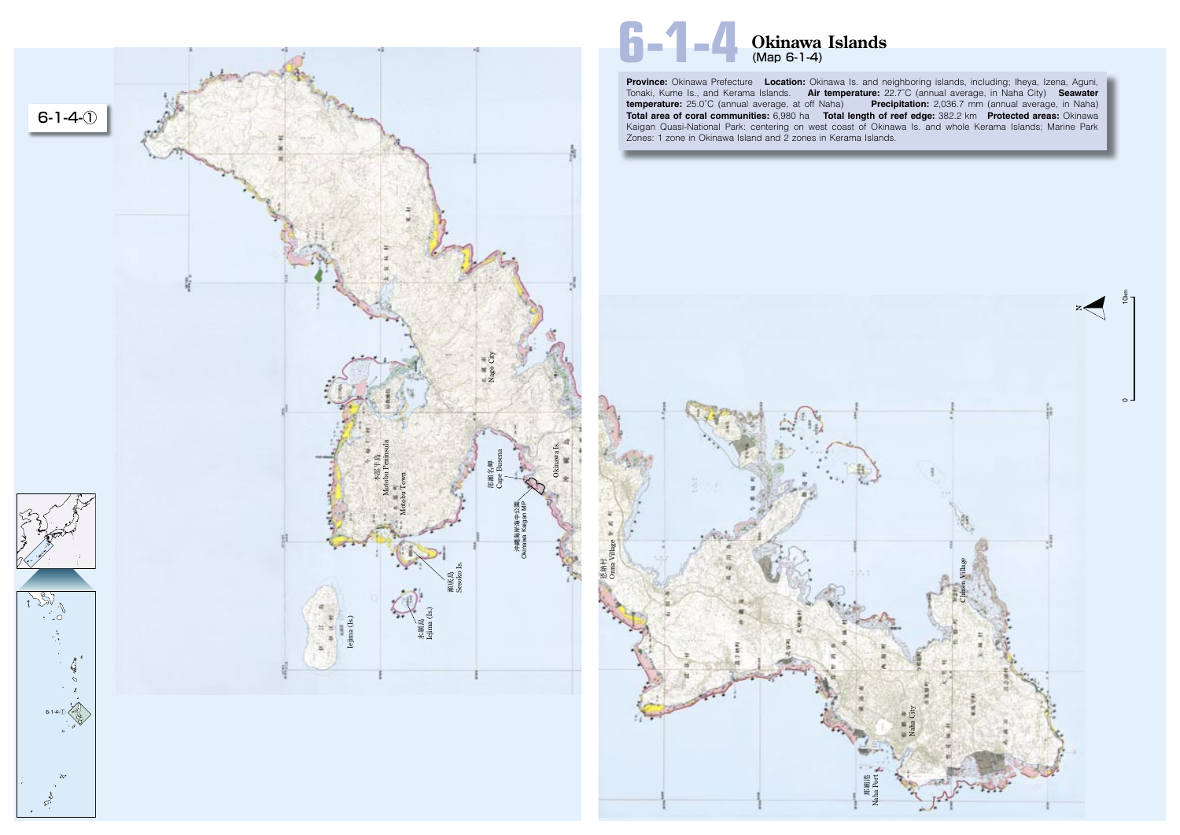**Province:** Okinawa Prefecture **Location:** Okinawa Is. and neighboring islands, including; Iheya, Izena, Aguni, Tonaki, Kume Is., and Kerama Islands. **Air temperature:** 22.7˚C (annual average, in Naha City) **Seawater temperature:** 25.0˚C (annual average, at off Naha) **Precipitation:** 2,036.7 mm (annual average, in Naha) **Total area of coral communities:** 6,980 ha **Total length of reef edge:** 382.2 km **Protected areas:** Okinawa Kaigan Quasi-National Park: centering on west coast of Okinawa Is. and whole Kerama Islands; Marine Park Zones: 1 zone in Okinawa Island and 2 zones in Kerama Islands.





# **6-1-4 Okinawa Islands** (Map 6-1-4)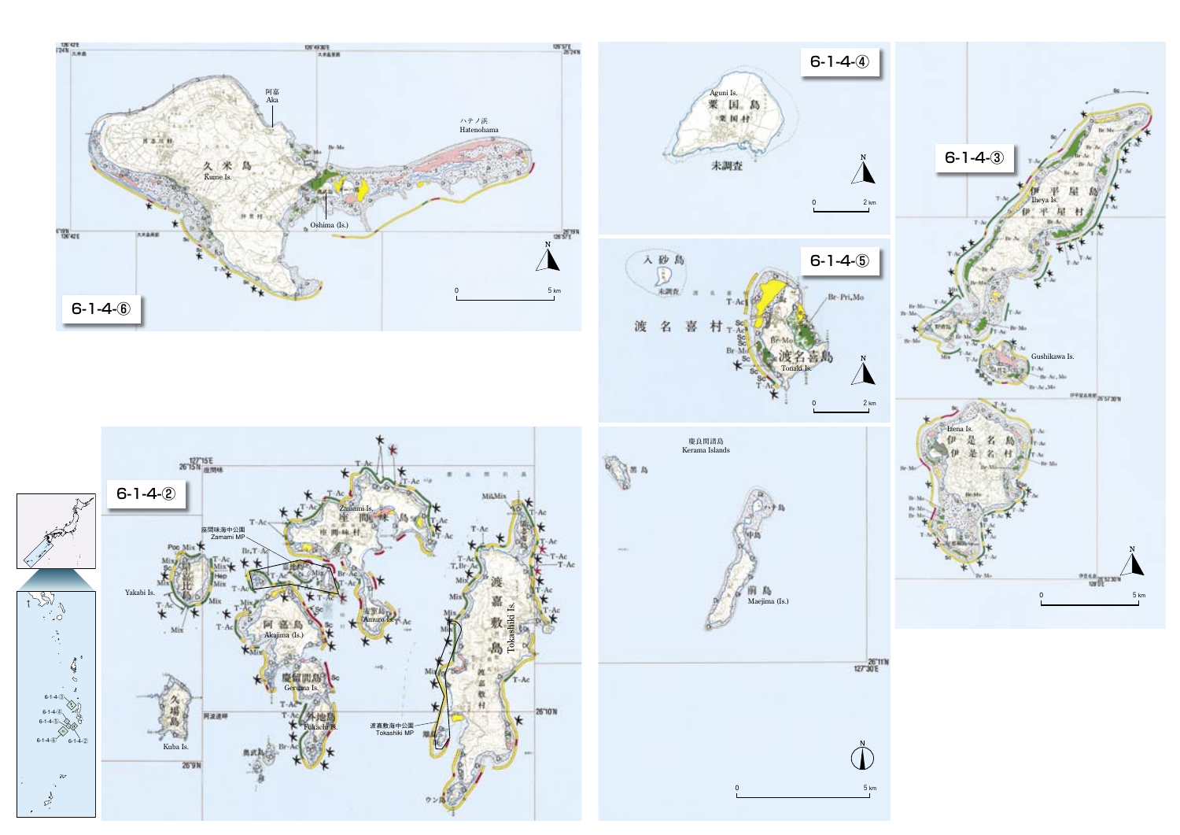









 $5 \text{ km}$ 

 $\bigoplus^n$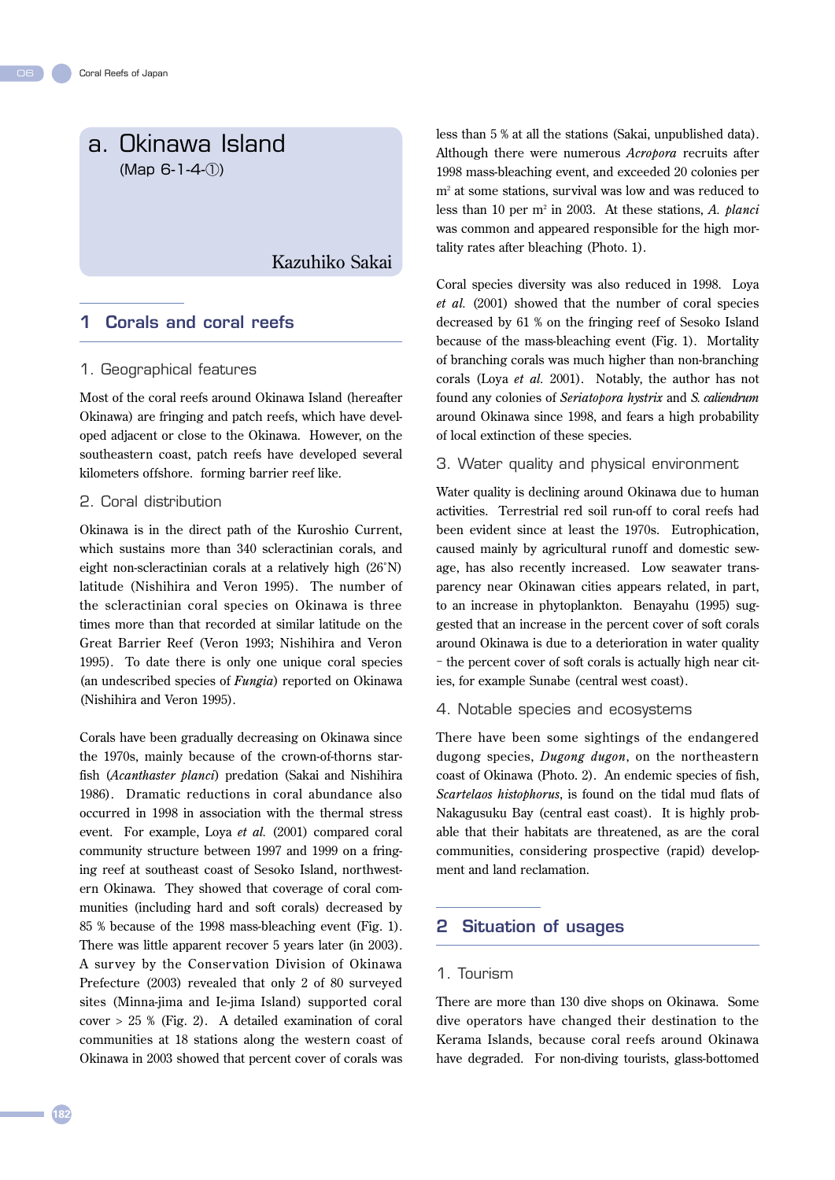# a. Okinawa Island (Map 6-1-4-①)

## Kazuhiko Sakai

## 1 Corals and coral reefs

#### 1. Geographical features

Most of the coral reefs around Okinawa Island (hereafter Okinawa) are fringing and patch reefs, which have developed adjacent or close to the Okinawa. However, on the southeastern coast, patch reefs have developed several kilometers offshore. forming barrier reef like.

#### 2. Coral distribution

Okinawa is in the direct path of the Kuroshio Current, which sustains more than 340 scleractinian corals, and eight non-scleractinian corals at a relatively high (26˚N) latitude (Nishihira and Veron 1995). The number of the scleractinian coral species on Okinawa is three times more than that recorded at similar latitude on the Great Barrier Reef (Veron 1993; Nishihira and Veron 1995). To date there is only one unique coral species (an undescribed species of *Fungia*) reported on Okinawa (Nishihira and Veron 1995).

Corals have been gradually decreasing on Okinawa since the 1970s, mainly because of the crown-of-thorns starfish (*Acanthaster planci*) predation (Sakai and Nishihira 1986). Dramatic reductions in coral abundance also occurred in 1998 in association with the thermal stress event. For example, Loya *et al.* (2001) compared coral community structure between 1997 and 1999 on a fringing reef at southeast coast of Sesoko Island, northwestern Okinawa. They showed that coverage of coral communities (including hard and soft corals) decreased by 85 % because of the 1998 mass-bleaching event (Fig. 1). There was little apparent recover 5 years later (in 2003). A sur vey by the Conser vation Division of Okinawa Prefecture (2003) revealed that only 2 of 80 surveyed sites (Minna-jima and Ie-jima Island) supported coral cover > 25 % (Fig. 2). A detailed examination of coral communities at 18 stations along the western coast of Okinawa in 2003 showed that percent cover of corals was less than 5 % at all the stations (Sakai, unpublished data). Although there were numerous *Acropora* recruits after 1998 mass-bleaching event, and exceeded 20 colonies per m2 at some stations, survival was low and was reduced to less than 10 per m2 in 2003. At these stations, *A. planci*  was common and appeared responsible for the high mortality rates after bleaching (Photo. 1).

Coral species diversity was also reduced in 1998. Loya *et al.* (2001) showed that the number of coral species decreased by 61 % on the fringing reef of Sesoko Island because of the mass-bleaching event (Fig. 1). Mortality of branching corals was much higher than non-branching corals (Loya *et al.* 2001). Notably, the author has not found any colonies of *Seriatopora hystrix* and *S. caliendrum*  around Okinawa since 1998, and fears a high probability of local extinction of these species.

3. Water quality and physical environment

Water quality is declining around Okinawa due to human activities. Terrestrial red soil run-off to coral reefs had been evident since at least the 1970s. Eutrophication, caused mainly by agricultural runoff and domestic sewage, has also recently increased. Low seawater transparency near Okinawan cities appears related, in part, to an increase in phytoplankton. Benayahu (1995) suggested that an increase in the percent cover of soft corals around Okinawa is due to a deterioration in water quality - the percent cover of soft corals is actually high near cities, for example Sunabe (central west coast).

4. Notable species and ecosystems

There have been some sightings of the endangered dugong species, *Dugong dugon*, on the northeastern coast of Okinawa (Photo. 2). An endemic species of fish, *Scartelaos histophorus*, is found on the tidal mud flats of Nakagusuku Bay (central east coast). It is highly probable that their habitats are threatened, as are the coral communities, considering prospective (rapid) development and land reclamation.

## 2 Situation of usages

#### 1. Tourism

There are more than 130 dive shops on Okinawa. Some dive operators have changed their destination to the Kerama Islands, because coral reefs around Okinawa have degraded. For non-diving tourists, glass-bottomed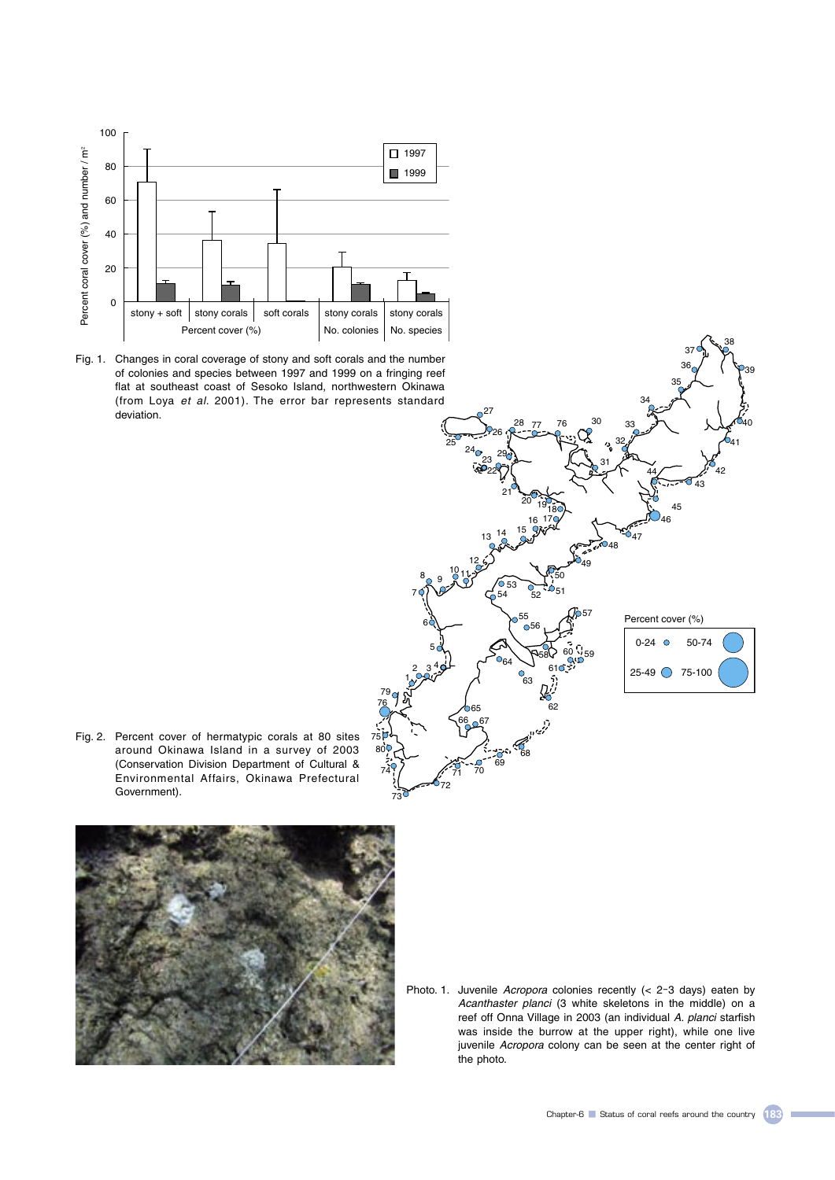





Fig. 2. Percent cover of hermatypic corals at 80 sites around Okinawa Island in a survey of 2003 (Conservation Division Department of Cultural & Environmental Affairs, Okinawa Prefectural Government).

 $80<sup>o</sup>$ 

 



Photo. 1. Juvenile Acropora colonies recently (< 2-3 days) eaten by Acanthaster planci (3 white skeletons in the middle) on a reef off Onna Village in 2003 (an individual A. planci starfish was inside the burrow at the upper right), while one live juvenile Acropora colony can be seen at the center right of the photo.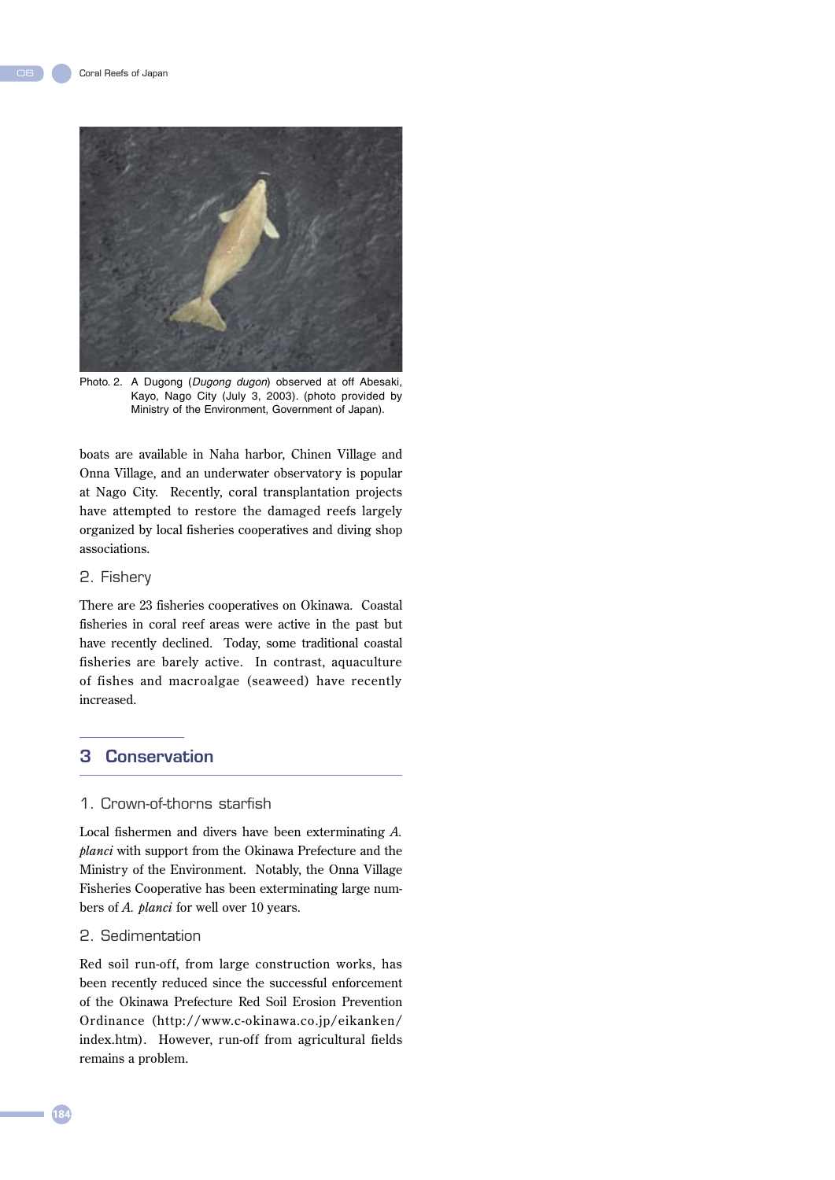

Photo. 2. A Dugong (Dugong dugon) observed at off Abesaki, Kayo, Nago City (July 3, 2003). (photo provided by Ministry of the Environment, Government of Japan).

boats are available in Naha harbor, Chinen Village and Onna Village, and an underwater observatory is popular at Nago City. Recently, coral transplantation projects have attempted to restore the damaged reefs largely organized by local fisheries cooperatives and diving shop associations.

#### 2. Fishery

There are 23 fisheries cooperatives on Okinawa. Coastal fisheries in coral reef areas were active in the past but have recently declined. Today, some traditional coastal fisheries are barely active. In contrast, aquaculture of fishes and macroalgae (seaweed) have recently increased.

## 3 Conservation

## 1. Crown-of-thorns starfish

Local fishermen and divers have been exterminating *A. planci* with support from the Okinawa Prefecture and the Ministry of the Environment. Notably, the Onna Village Fisheries Cooperative has been exterminating large numbers of *A. planci* for well over 10 years.

#### 2. Sedimentation

Red soil run-off, from large construction works, has been recently reduced since the successful enforcement of the Okinawa Prefecture Red Soil Erosion Prevention Ordinance (http://www.c-okinawa.co.jp/eikanken/ index.htm). However, run-off from agricultural fields remains a problem.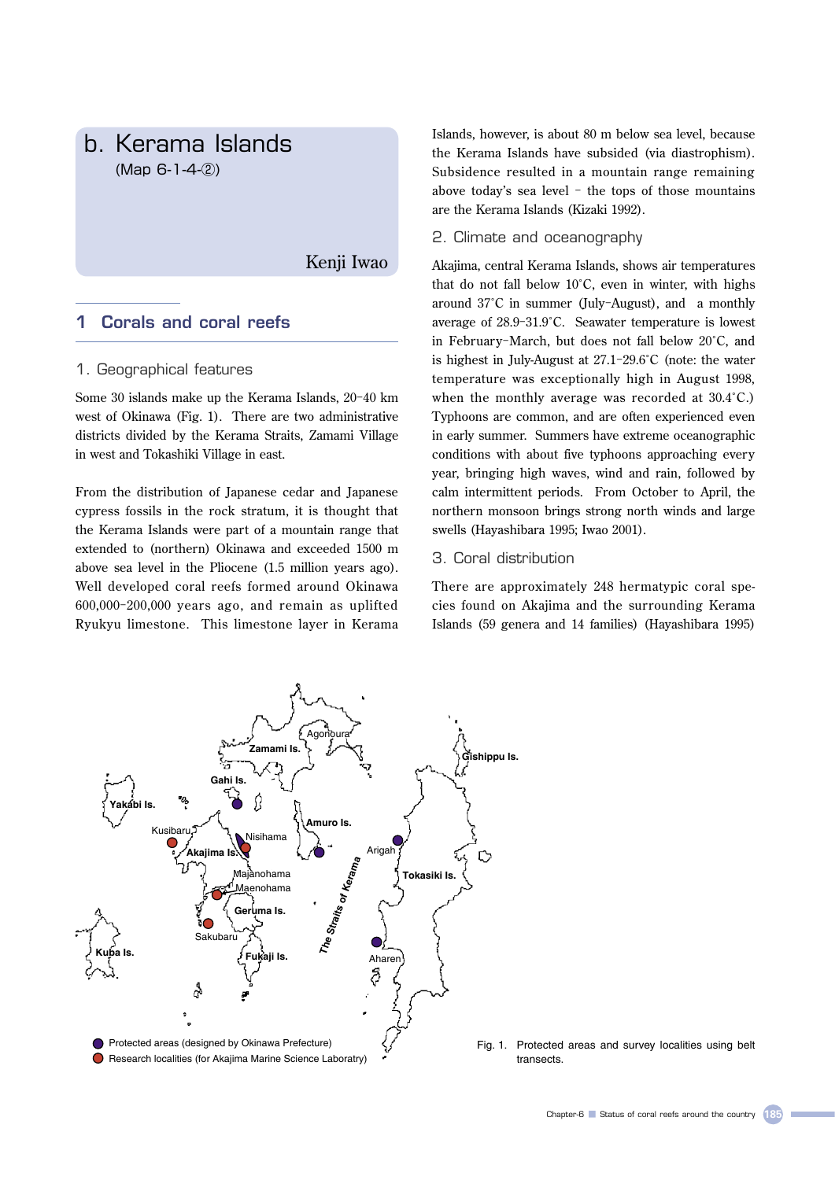# b. Kerama Islands (Map 6-1-4-②)

Kenji Iwao

## 1 Corals and coral reefs

#### 1. Geographical features

Some 30 islands make up the Kerama Islands, 20-40 km west of Okinawa (Fig. 1). There are two administrative districts divided by the Kerama Straits, Zamami Village in west and Tokashiki Village in east.

From the distribution of Japanese cedar and Japanese cypress fossils in the rock stratum, it is thought that the Kerama Islands were part of a mountain range that extended to (northern) Okinawa and exceeded 1500 m above sea level in the Pliocene (1.5 million years ago). Well developed coral reefs formed around Okinawa 600,000-200,000 years ago, and remain as uplifted Ryukyu limestone. This limestone layer in Kerama

Islands, however, is about 80 m below sea level, because the Kerama Islands have subsided (via diastrophism). Subsidence resulted in a mountain range remaining above today's sea level - the tops of those mountains are the Kerama Islands (Kizaki 1992).

2. Climate and oceanography

Akajima, central Kerama Islands, shows air temperatures that do not fall below 10˚C, even in winter, with highs around 37˚C in summer (July-August), and a monthly average of 28.9-31.9˚C. Seawater temperature is lowest in February-March, but does not fall below 20˚C, and is highest in July-August at 27.1-29.6˚C (note: the water temperature was exceptionally high in August 1998, when the monthly average was recorded at 30.4˚C.) Typhoons are common, and are often experienced even in early summer. Summers have extreme oceanographic conditions with about five typhoons approaching every year, bringing high waves, wind and rain, followed by calm intermittent periods. From October to April, the northern monsoon brings strong north winds and large swells (Hayashibara 1995; Iwao 2001).

## 3. Coral distribution

There are approximately 248 hermatypic coral species found on Akajima and the surrounding Kerama Islands (59 genera and 14 families) (Hayashibara 1995)



Fig. 1. Protected areas and survey localities using belt transects.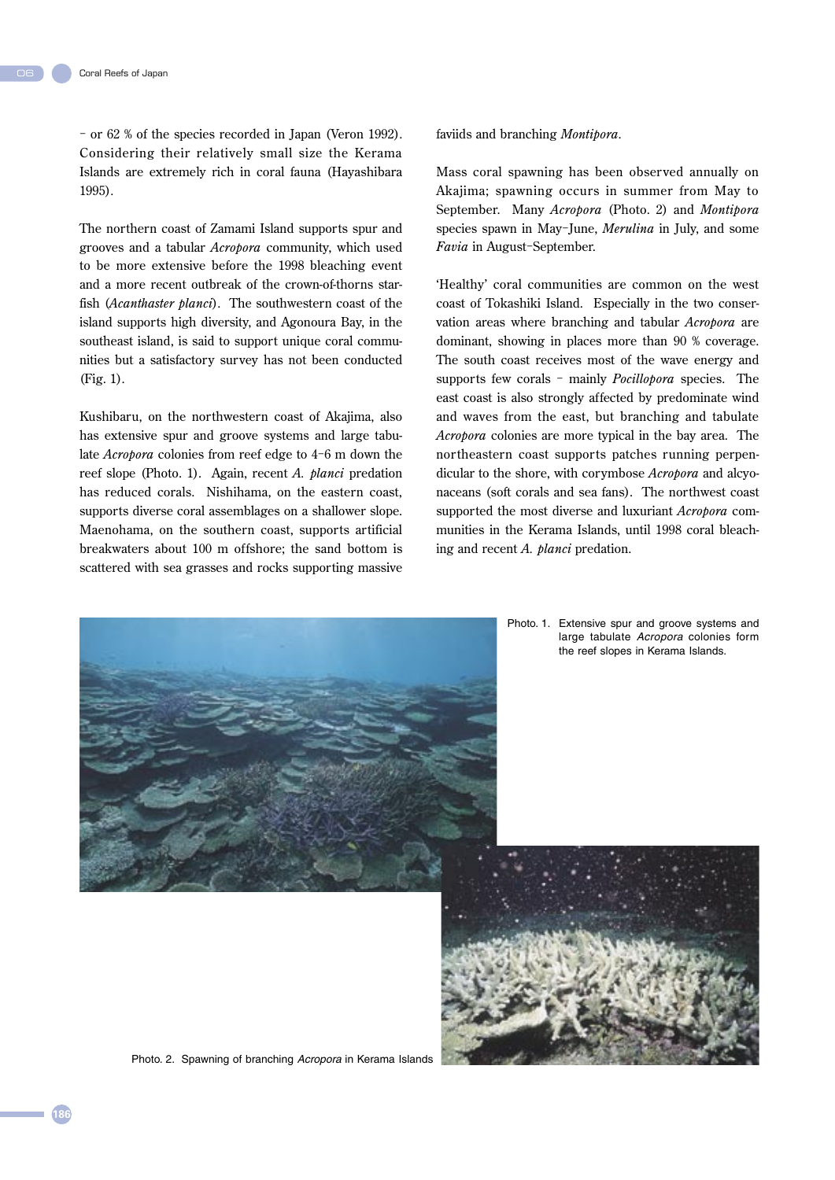06

- or 62 % of the species recorded in Japan (Veron 1992). Considering their relatively small size the Kerama Islands are extremely rich in coral fauna (Hayashibara 1995).

The northern coast of Zamami Island supports spur and grooves and a tabular *Acropora* community, which used to be more extensive before the 1998 bleaching event and a more recent outbreak of the crown-of-thorns starfish (*Acanthaster planci*). The southwestern coast of the island supports high diversity, and Agonoura Bay, in the southeast island, is said to support unique coral communities but a satisfactory survey has not been conducted (Fig. 1).

Kushibaru, on the northwestern coast of Akajima, also has extensive spur and groove systems and large tabulate *Acropora* colonies from reef edge to 4-6 m down the reef slope (Photo. 1). Again, recent *A. planci* predation has reduced corals. Nishihama, on the eastern coast, supports diverse coral assemblages on a shallower slope. Maenohama, on the southern coast, supports artificial breakwaters about 100 m offshore; the sand bottom is scattered with sea grasses and rocks supporting massive faviids and branching *Montipora*.

Mass coral spawning has been observed annually on Akajima; spawning occurs in summer from May to September. Many *Acropora* (Photo. 2) and *Montipora*  species spawn in May-June, *Merulina* in July, and some *Favia* in August-September.

'Healthy' coral communities are common on the west coast of Tokashiki Island. Especially in the two conservation areas where branching and tabular *Acropora* are dominant, showing in places more than 90 % coverage. The south coast receives most of the wave energy and supports few corals - mainly *Pocillopora* species. The east coast is also strongly affected by predominate wind and waves from the east, but branching and tabulate *Acropora* colonies are more typical in the bay area. The northeastern coast supports patches running perpendicular to the shore, with corymbose *Acropora* and alcyonaceans (soft corals and sea fans). The northwest coast supported the most diverse and luxuriant *Acropora* communities in the Kerama Islands, until 1998 coral bleaching and recent *A. planci* predation.

Photo. 1. Extensive spur and groove systems and



Photo. 2. Spawning of branching Acropora in Kerama Islands

**186**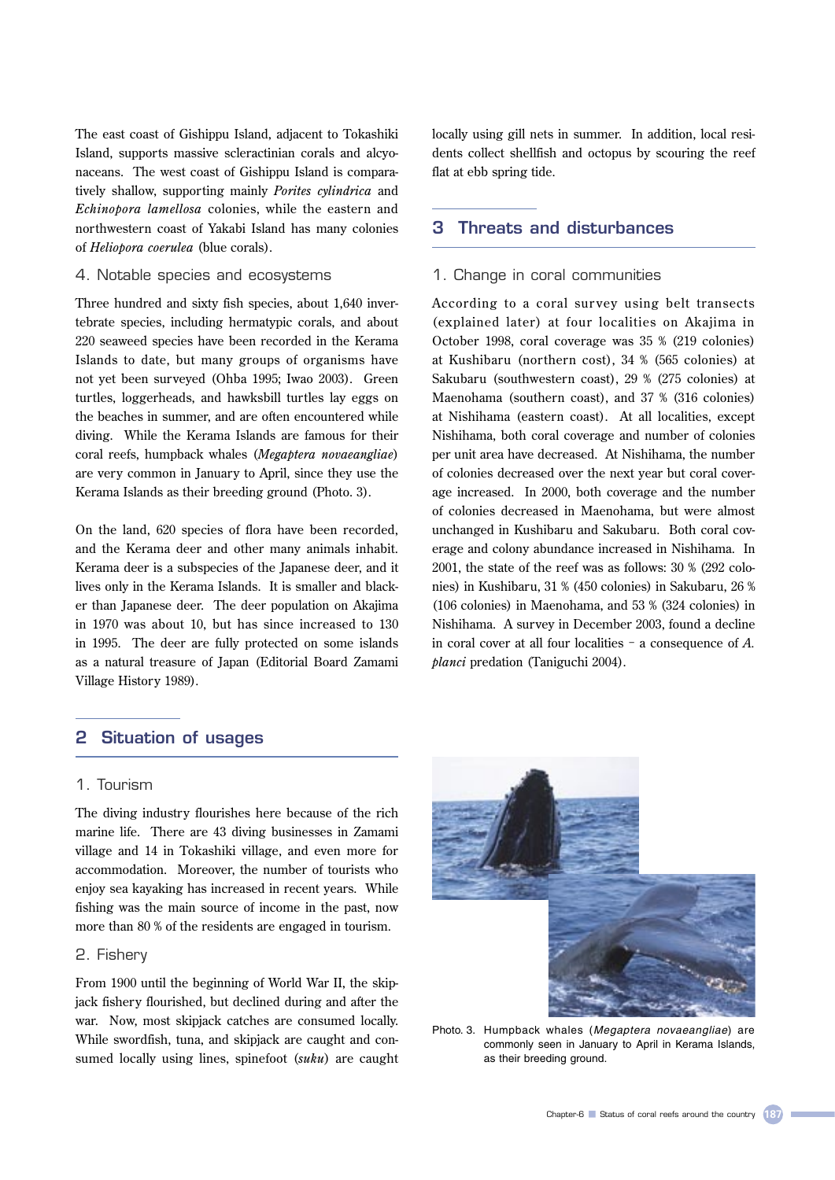The east coast of Gishippu Island, adjacent to Tokashiki Island, supports massive scleractinian corals and alcyonaceans. The west coast of Gishippu Island is comparatively shallow, supporting mainly *Porites cylindrica* and *Echinopora lamellosa* colonies, while the eastern and northwestern coast of Yakabi Island has many colonies of *Heliopora coerulea* (blue corals).

### 4. Notable species and ecosystems

Three hundred and sixty fish species, about 1,640 invertebrate species, including hermatypic corals, and about 220 seaweed species have been recorded in the Kerama Islands to date, but many groups of organisms have not yet been surveyed (Ohba 1995; Iwao 2003). Green turtles, loggerheads, and hawksbill turtles lay eggs on the beaches in summer, and are often encountered while diving. While the Kerama Islands are famous for their coral reefs, humpback whales (*Megaptera novaeangliae*) are very common in January to April, since they use the Kerama Islands as their breeding ground (Photo. 3).

On the land, 620 species of flora have been recorded, and the Kerama deer and other many animals inhabit. Kerama deer is a subspecies of the Japanese deer, and it lives only in the Kerama Islands. It is smaller and blacker than Japanese deer. The deer population on Akajima in 1970 was about 10, but has since increased to 130 in 1995. The deer are fully protected on some islands as a natural treasure of Japan (Editorial Board Zamami Village History 1989).

locally using gill nets in summer. In addition, local residents collect shellfish and octopus by scouring the reef flat at ebb spring tide.

## 3 Threats and disturbances

#### 1. Change in coral communities

According to a coral survey using belt transects (explained later) at four localities on Akajima in October 1998, coral coverage was 35 % (219 colonies) at Kushibaru (northern cost), 34 % (565 colonies) at Sakubaru (southwestern coast), 29 % (275 colonies) at Maenohama (southern coast), and 37 % (316 colonies) at Nishihama (eastern coast). At all localities, except Nishihama, both coral coverage and number of colonies per unit area have decreased. At Nishihama, the number of colonies decreased over the next year but coral coverage increased. In 2000, both coverage and the number of colonies decreased in Maenohama, but were almost unchanged in Kushibaru and Sakubaru. Both coral coverage and colony abundance increased in Nishihama. In 2001, the state of the reef was as follows: 30 % (292 colonies) in Kushibaru, 31 % (450 colonies) in Sakubaru, 26 % (106 colonies) in Maenohama, and 53 % (324 colonies) in Nishihama. A survey in December 2003, found a decline in coral cover at all four localities - a consequence of *A. planci* predation (Taniguchi 2004).

## 2 Situation of usages

#### 1. Tourism

The diving industry flourishes here because of the rich marine life. There are 43 diving businesses in Zamami village and 14 in Tokashiki village, and even more for accommodation. Moreover, the number of tourists who enjoy sea kayaking has increased in recent years. While fishing was the main source of income in the past, now more than 80 % of the residents are engaged in tourism.

#### 2. Fishery

From 1900 until the beginning of World War II, the skipjack fishery flourished, but declined during and after the war. Now, most skipjack catches are consumed locally. While swordfish, tuna, and skipjack are caught and consumed locally using lines, spinefoot (*suku*) are caught



Photo. 3. Humpback whales (Megaptera novaeangliae) are commonly seen in January to April in Kerama Islands, as their breeding ground.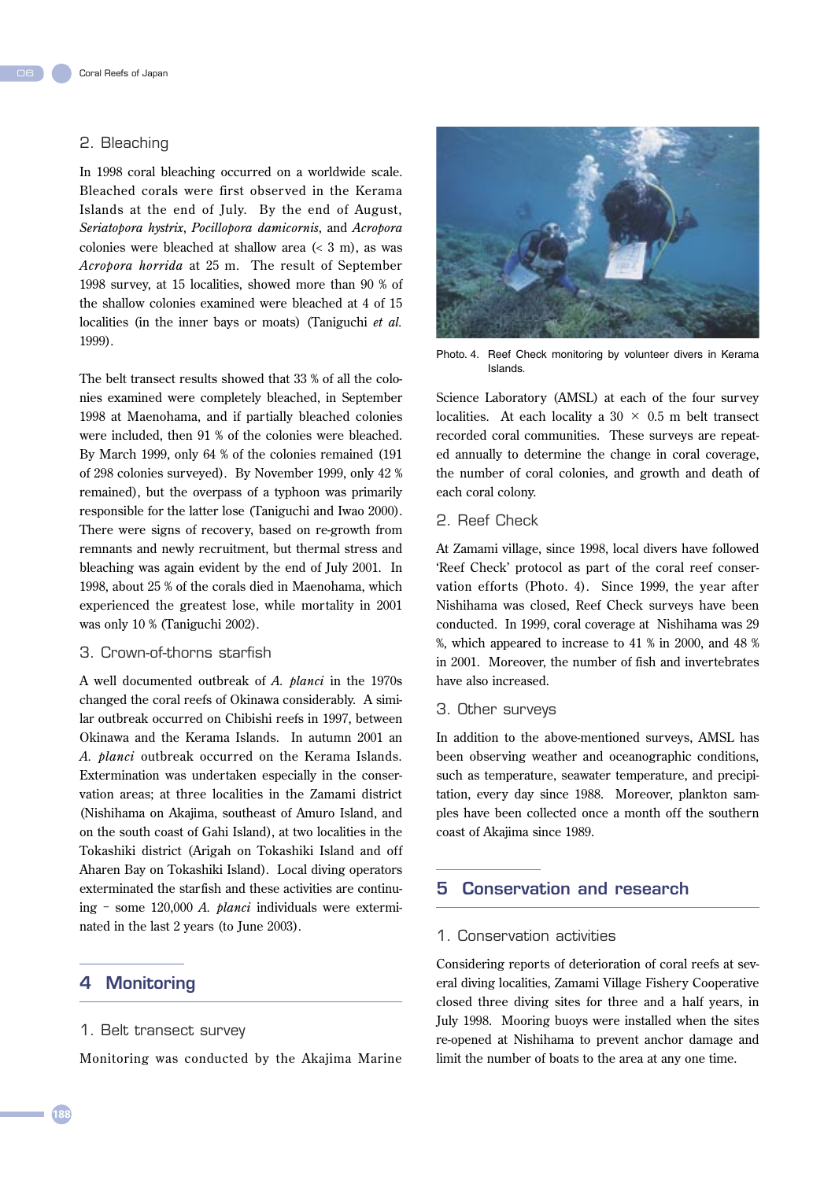## 2. Bleaching

In 1998 coral bleaching occurred on a worldwide scale. Bleached corals were first obser ved in the Kerama Islands at the end of July. By the end of August, *Seriatopora hystrix*, *Pocillopora damicornis*, and *Acropora* colonies were bleached at shallow area (< 3 m), as was *Acropora horrida* at 25 m. The result of September 1998 survey, at 15 localities, showed more than 90 % of the shallow colonies examined were bleached at 4 of 15 localities (in the inner bays or moats) (Taniguchi *et al.* 1999).

The belt transect results showed that 33 % of all the colonies examined were completely bleached, in September 1998 at Maenohama, and if partially bleached colonies were included, then 91 % of the colonies were bleached. By March 1999, only 64 % of the colonies remained (191 of 298 colonies surveyed). By November 1999, only 42 % remained), but the overpass of a typhoon was primarily responsible for the latter lose (Taniguchi and Iwao 2000). There were signs of recovery, based on re-growth from remnants and newly recruitment, but thermal stress and bleaching was again evident by the end of July 2001. In 1998, about 25 % of the corals died in Maenohama, which experienced the greatest lose, while mortality in 2001 was only 10 % (Taniguchi 2002).

#### 3. Crown-of-thorns starfish

A well documented outbreak of *A. planci* in the 1970s changed the coral reefs of Okinawa considerably. A similar outbreak occurred on Chibishi reefs in 1997, between Okinawa and the Kerama Islands. In autumn 2001 an *A. planci* outbreak occurred on the Kerama Islands. Extermination was undertaken especially in the conservation areas; at three localities in the Zamami district (Nishihama on Akajima, southeast of Amuro Island, and on the south coast of Gahi Island), at two localities in the Tokashiki district (Arigah on Tokashiki Island and off Aharen Bay on Tokashiki Island). Local diving operators exterminated the starfish and these activities are continuing - some 120,000 *A. planci* individuals were exterminated in the last 2 years (to June 2003).

## 4 Monitoring

#### 1. Belt transect survey

Monitoring was conducted by the Akajima Marine



Photo. 4. Reef Check monitoring by volunteer divers in Kerama Islands.

Science Laboratory (AMSL) at each of the four survey localities. At each locality a  $30 \times 0.5$  m belt transect recorded coral communities. These surveys are repeated annually to determine the change in coral coverage, the number of coral colonies, and growth and death of each coral colony.

## 2. Reef Check

At Zamami village, since 1998, local divers have followed 'Reef Check' protocol as part of the coral reef conservation efforts (Photo. 4). Since 1999, the year after Nishihama was closed, Reef Check surveys have been conducted. In 1999, coral coverage at Nishihama was 29 %, which appeared to increase to 41 % in 2000, and 48 % in 2001. Moreover, the number of fish and invertebrates have also increased.

#### 3. Other surveys

In addition to the above-mentioned surveys, AMSL has been observing weather and oceanographic conditions, such as temperature, seawater temperature, and precipitation, every day since 1988. Moreover, plankton samples have been collected once a month off the southern coast of Akajima since 1989.

## 5 Conservation and research

## 1. Conservation activities

Considering reports of deterioration of coral reefs at several diving localities, Zamami Village Fishery Cooperative closed three diving sites for three and a half years, in July 1998. Mooring buoys were installed when the sites re-opened at Nishihama to prevent anchor damage and limit the number of boats to the area at any one time.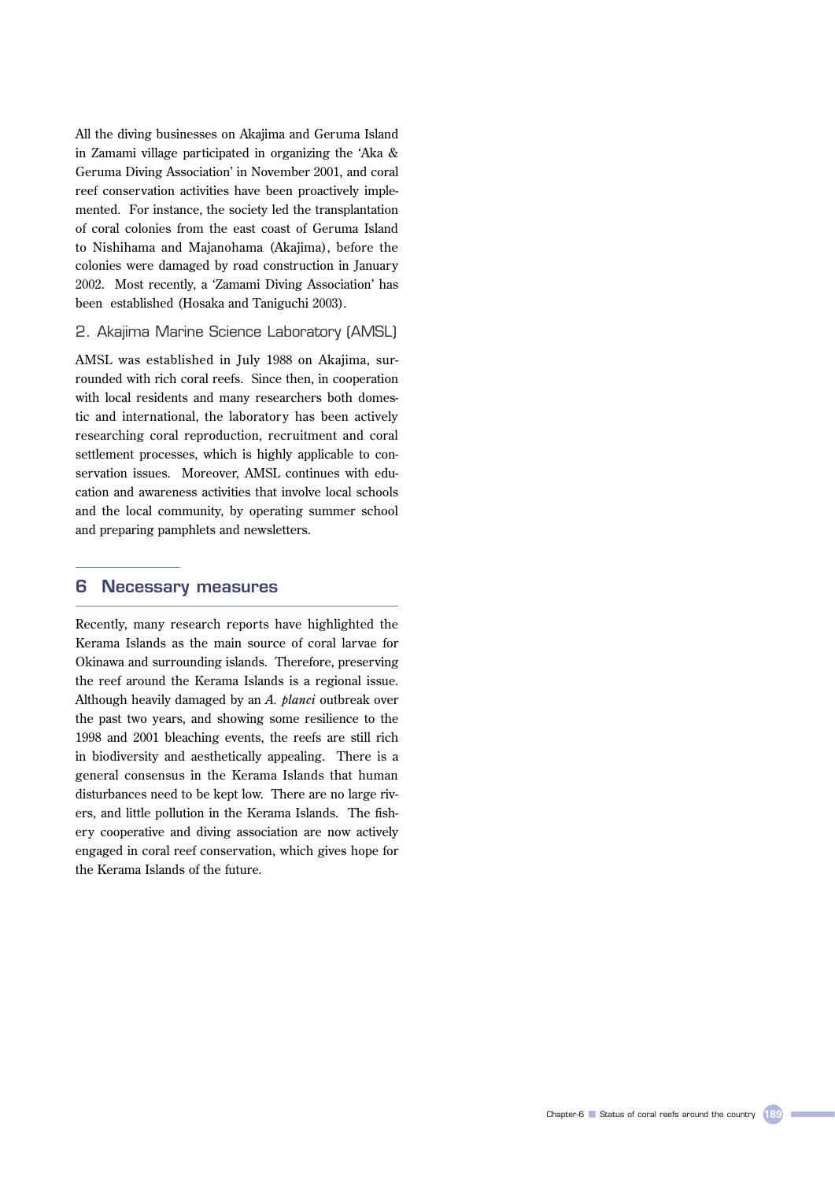All the diving businesses on Akajima and Geruma Island in Zamami village participated in organizing the 'Aka & Geruma Diving Association' in November 2001, and coral reef conservation activities have been proactively implemented. For instance, the society led the transplantation of coral colonies from the east coast of Geruma Island to Nishihama and Majanohama (Akajima), before the colonies were damaged by road construction in January 2002. Most recently, a 'Zamami Diving Association' has been established (Hosaka and Taniguchi 2003).

2. Akajima Marine Science Laboratory (AMSL)

AMSL was established in July 1988 on Akajima, surrounded with rich coral reefs. Since then, in cooperation with local residents and many researchers both domestic and international, the laboratory has been actively researching coral reproduction, recruitment and coral settlement processes, which is highly applicable to conservation issues. Moreover, AMSL continues with education and awareness activities that involve local schools and the local community, by operating summer school and preparing pamphlets and newsletters.

#### 6 Necessary measures

Recently, many research reports have highlighted the Kerama Islands as the main source of coral larvae for Okinawa and surrounding islands. Therefore, preserving the reef around the Kerama Islands is a regional issue. Although heavily damaged by an *A. planci* outbreak over the past two years, and showing some resilience to the 1998 and 2001 bleaching events, the reefs are still rich in biodiversity and aesthetically appealing. There is a general consensus in the Kerama Islands that human disturbances need to be kept low. There are no large rivers, and little pollution in the Kerama Islands. The fishery cooperative and diving association are now actively engaged in coral reef conservation, which gives hope for the Kerama Islands of the future.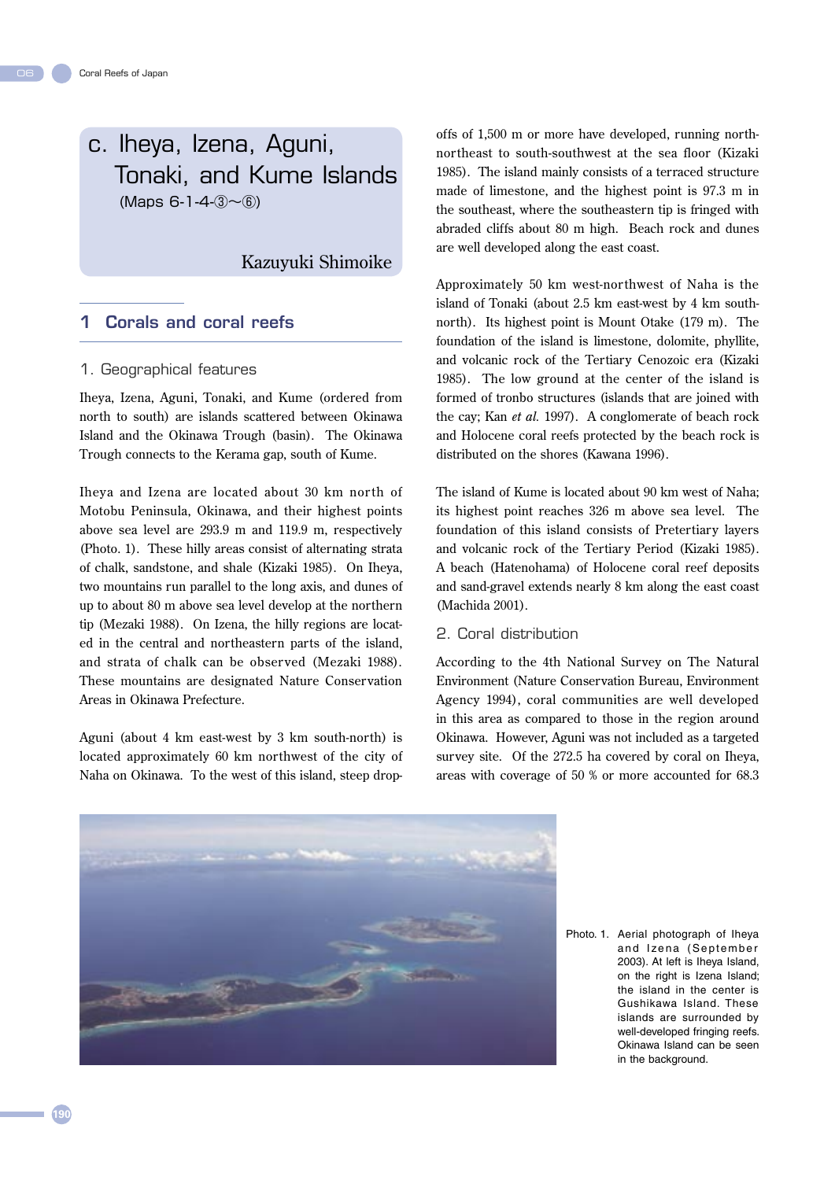c. Iheya, Izena, Aguni, Tonaki, and Kume Islands  $(Maps 6-1-4-3)$   $\sim$  6)

## Kazuyuki Shimoike

## 1 Corals and coral reefs

### 1. Geographical features

Iheya, Izena, Aguni, Tonaki, and Kume (ordered from north to south) are islands scattered between Okinawa Island and the Okinawa Trough (basin). The Okinawa Trough connects to the Kerama gap, south of Kume.

Iheya and Izena are located about 30 km north of Motobu Peninsula, Okinawa, and their highest points above sea level are 293.9 m and 119.9 m, respectively (Photo. 1). These hilly areas consist of alternating strata of chalk, sandstone, and shale (Kizaki 1985). On Iheya, two mountains run parallel to the long axis, and dunes of up to about 80 m above sea level develop at the northern tip (Mezaki 1988). On Izena, the hilly regions are located in the central and northeastern parts of the island, and strata of chalk can be observed (Mezaki 1988). These mountains are designated Nature Conservation Areas in Okinawa Prefecture.

Aguni (about 4 km east-west by 3 km south-north) is located approximately 60 km northwest of the city of Naha on Okinawa. To the west of this island, steep dropoffs of 1,500 m or more have developed, running northnortheast to south-southwest at the sea floor (Kizaki 1985). The island mainly consists of a terraced structure made of limestone, and the highest point is 97.3 m in the southeast, where the southeastern tip is fringed with abraded cliffs about 80 m high. Beach rock and dunes are well developed along the east coast.

Approximately 50 km west-northwest of Naha is the island of Tonaki (about 2.5 km east-west by 4 km southnorth). Its highest point is Mount Otake (179 m). The foundation of the island is limestone, dolomite, phyllite, and volcanic rock of the Tertiary Cenozoic era (Kizaki 1985). The low ground at the center of the island is formed of tronbo structures (islands that are joined with the cay; Kan *et al.* 1997). A conglomerate of beach rock and Holocene coral reefs protected by the beach rock is distributed on the shores (Kawana 1996).

The island of Kume is located about 90 km west of Naha; its highest point reaches 326 m above sea level. The foundation of this island consists of Pretertiary layers and volcanic rock of the Tertiary Period (Kizaki 1985). A beach (Hatenohama) of Holocene coral reef deposits and sand-gravel extends nearly 8 km along the east coast (Machida 2001).

#### 2. Coral distribution

According to the 4th National Survey on The Natural Environment (Nature Conservation Bureau, Environment Agency 1994), coral communities are well developed in this area as compared to those in the region around Okinawa. However, Aguni was not included as a targeted survey site. Of the 272.5 ha covered by coral on Iheya, areas with coverage of 50 % or more accounted for 68.3



Photo. 1. Aerial photograph of Iheya and Izena (September 2003). At left is Iheya Island, on the right is Izena Island; the island in the center is Gushikawa Island. These islands are surrounded by well-developed fringing reefs. Okinawa Island can be seen in the background.

06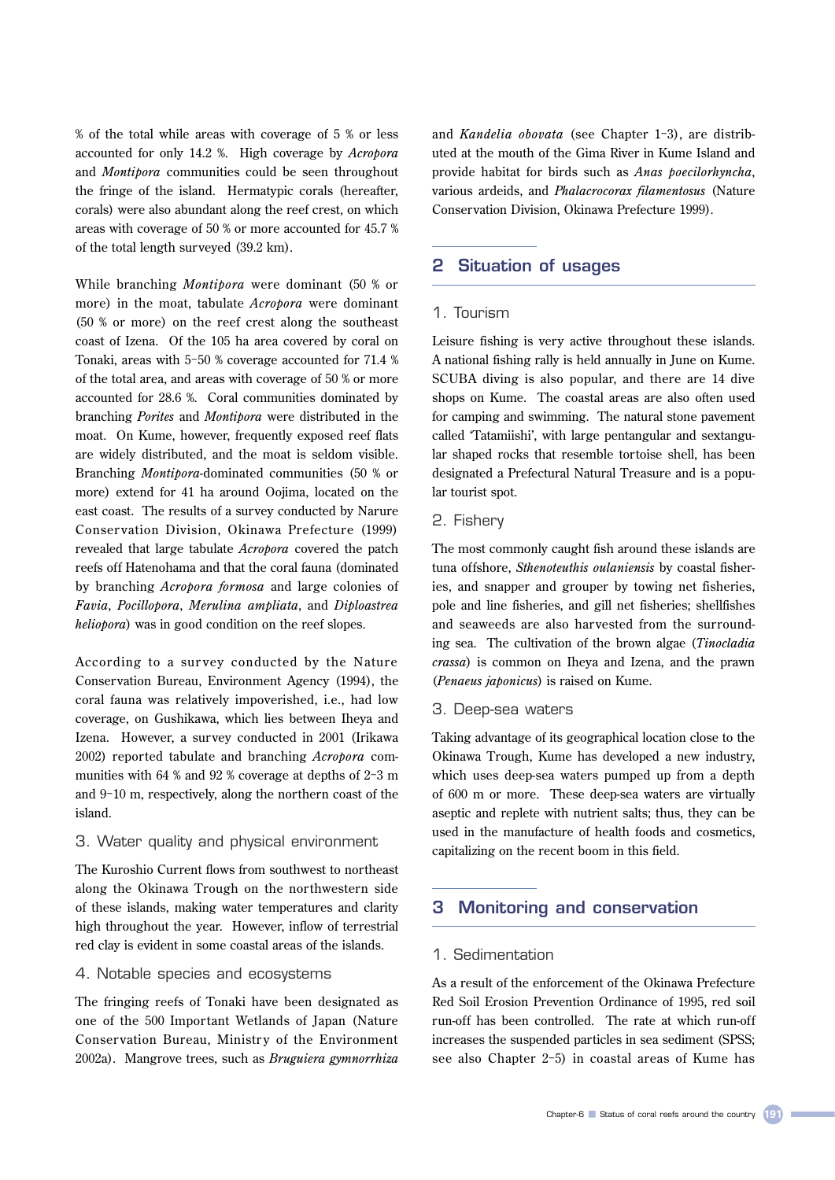% of the total while areas with coverage of 5 % or less accounted for only 14.2 %. High coverage by *Acropora*  and *Montipora* communities could be seen throughout the fringe of the island. Hermatypic corals (hereafter, corals) were also abundant along the reef crest, on which areas with coverage of 50 % or more accounted for 45.7 % of the total length surveyed (39.2 km).

While branching *Montipora* were dominant (50 % or more) in the moat, tabulate *Acropora* were dominant (50 % or more) on the reef crest along the southeast coast of Izena. Of the 105 ha area covered by coral on Tonaki, areas with 5-50 % coverage accounted for 71.4 % of the total area, and areas with coverage of 50 % or more accounted for 28.6 %. Coral communities dominated by branching *Porites* and *Montipora* were distributed in the moat. On Kume, however, frequently exposed reef flats are widely distributed, and the moat is seldom visible. Branching *Montipora*-dominated communities (50 % or more) extend for 41 ha around Oojima, located on the east coast. The results of a survey conducted by Narure Conser vation Division, Okinawa Prefecture (1999) revealed that large tabulate *Acropora* covered the patch reefs off Hatenohama and that the coral fauna (dominated by branching *Acropora formosa* and large colonies of *Favia*, *Pocillopora*, *Merulina ampliata*, and *Diploastrea heliopora*) was in good condition on the reef slopes.

According to a sur vey conducted by the Nature Conservation Bureau, Environment Agency (1994), the coral fauna was relatively impoverished, i.e., had low coverage, on Gushikawa, which lies between Iheya and Izena. However, a survey conducted in 2001 (Irikawa 2002) reported tabulate and branching *Acropora* communities with 64 % and 92 % coverage at depths of 2-3 m and 9-10 m, respectively, along the northern coast of the island.

#### 3. Water quality and physical environment

The Kuroshio Current flows from southwest to northeast along the Okinawa Trough on the northwestern side of these islands, making water temperatures and clarity high throughout the year. However, inflow of terrestrial red clay is evident in some coastal areas of the islands.

### 4. Notable species and ecosystems

The fringing reefs of Tonaki have been designated as one of the 500 Important Wetlands of Japan (Nature Conservation Bureau, Ministry of the Environment 2002a). Mangrove trees, such as *Bruguiera gymnorrhiza* 

and *Kandelia obovata* (see Chapter 1-3), are distributed at the mouth of the Gima River in Kume Island and provide habitat for birds such as *Anas poecilorhyncha*, various ardeids, and *Phalacrocorax filamentosus* (Nature Conservation Division, Okinawa Prefecture 1999).

## 2 Situation of usages

#### 1. Tourism

Leisure fishing is very active throughout these islands. A national fishing rally is held annually in June on Kume. SCUBA diving is also popular, and there are 14 dive shops on Kume. The coastal areas are also often used for camping and swimming. The natural stone pavement called 'Tatamiishi', with large pentangular and sextangular shaped rocks that resemble tortoise shell, has been designated a Prefectural Natural Treasure and is a popular tourist spot.

## 2. Fishery

The most commonly caught fish around these islands are tuna offshore, *Sthenoteuthis oulaniensis* by coastal fisheries, and snapper and grouper by towing net fisheries, pole and line fisheries, and gill net fisheries; shellfishes and seaweeds are also harvested from the surrounding sea. The cultivation of the brown algae (*Tinocladia crassa*) is common on Iheya and Izena, and the prawn (*Penaeus japonicus*) is raised on Kume.

#### 3. Deep-sea waters

Taking advantage of its geographical location close to the Okinawa Trough, Kume has developed a new industry, which uses deep-sea waters pumped up from a depth of 600 m or more. These deep-sea waters are virtually aseptic and replete with nutrient salts; thus, they can be used in the manufacture of health foods and cosmetics, capitalizing on the recent boom in this field.

## 3 Monitoring and conservation

#### 1. Sedimentation

As a result of the enforcement of the Okinawa Prefecture Red Soil Erosion Prevention Ordinance of 1995, red soil run-off has been controlled. The rate at which run-off increases the suspended particles in sea sediment (SPSS; see also Chapter 2-5) in coastal areas of Kume has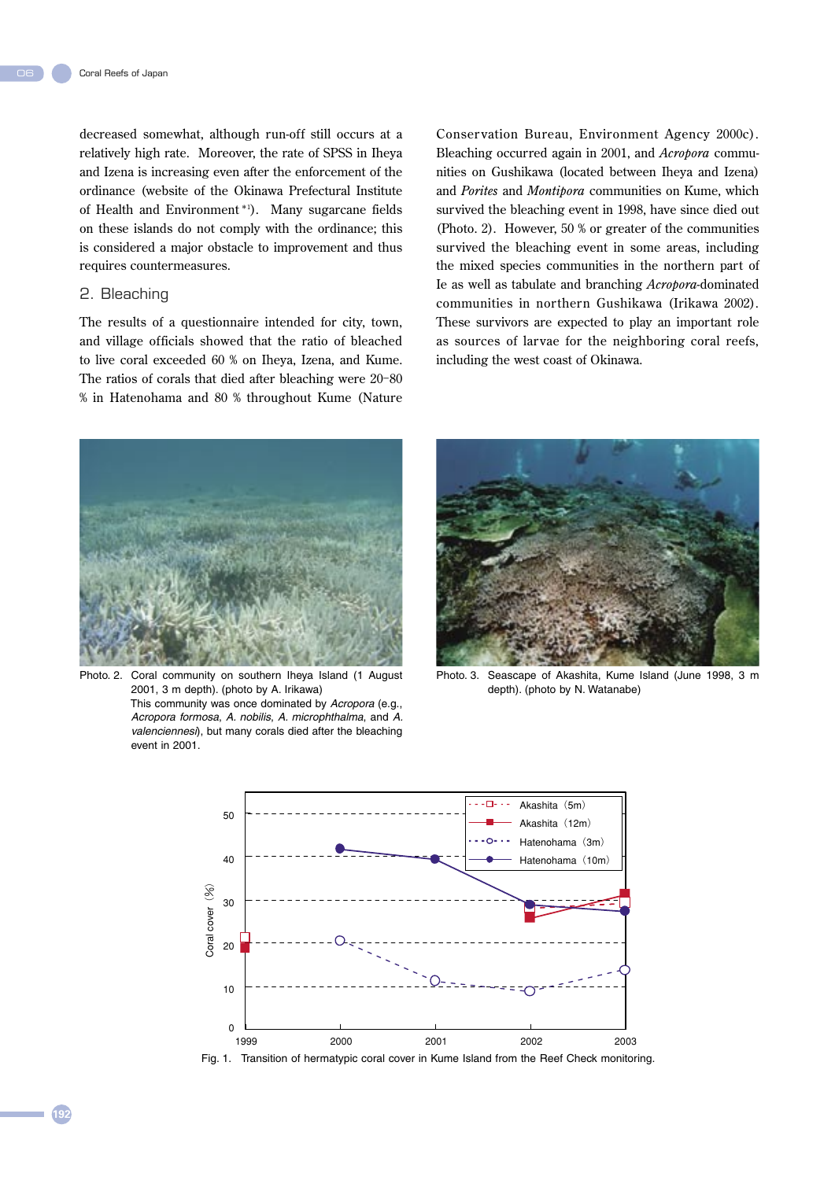06

decreased somewhat, although run-off still occurs at a relatively high rate. Moreover, the rate of SPSS in Iheya and Izena is increasing even after the enforcement of the ordinance (website of the Okinawa Prefectural Institute of Health and Environment \*<sup>1</sup> ). Many sugarcane fields on these islands do not comply with the ordinance; this is considered a major obstacle to improvement and thus requires countermeasures.

## 2. Bleaching

The results of a questionnaire intended for city, town, and village officials showed that the ratio of bleached to live coral exceeded 60 % on Iheya, Izena, and Kume. The ratios of corals that died after bleaching were 20-80 % in Hatenohama and 80 % throughout Kume (Nature

Conser vation Bureau, Environment Agency 2000c). Bleaching occurred again in 2001, and *Acropora* communities on Gushikawa (located between Iheya and Izena) and *Porites* and *Montipora* communities on Kume, which survived the bleaching event in 1998, have since died out (Photo. 2). However, 50 % or greater of the communities survived the bleaching event in some areas, including the mixed species communities in the northern part of Ie as well as tabulate and branching *Acropora*-dominated communities in northern Gushikawa (Irikawa 2002). These survivors are expected to play an important role as sources of larvae for the neighboring coral reefs, including the west coast of Okinawa.



Photo. 2. Coral community on southern Iheya Island (1 August 2001, 3 m depth). (photo by A. Irikawa) This community was once dominated by Acropora (e.g., Acropora formosa, A. nobilis, A. microphthalma, and A. valenciennesi), but many corals died after the bleaching

event in 2001.



Photo. 3. Seascape of Akashita, Kume Island (June 1998, 3 m depth). (photo by N. Watanabe)



Fig. 1. Transition of hermatypic coral cover in Kume Island from the Reef Check monitoring.